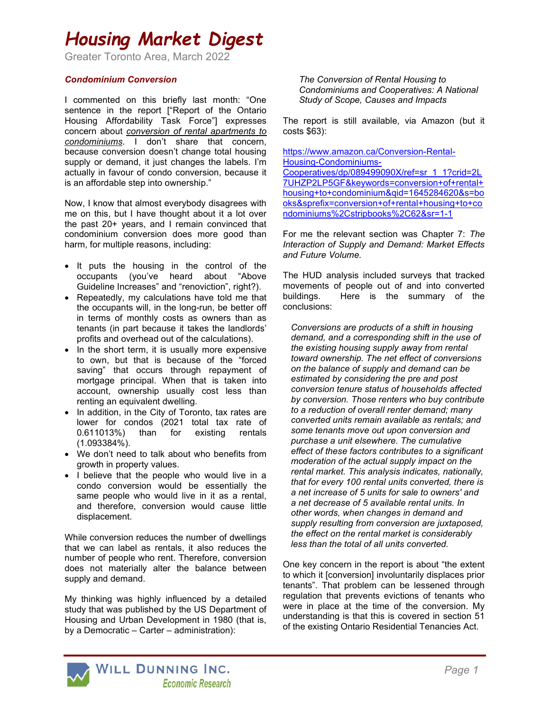## Housing Market Digest

Greater Toronto Area, March 2022

#### Condominium Conversion

I commented on this briefly last month: "One sentence in the report ["Report of the Ontario Housing Affordability Task Force"] expresses concern about conversion of rental apartments to condominiums. I don't share that concern, because conversion doesn't change total housing supply or demand, it just changes the labels. I'm actually in favour of condo conversion, because it is an affordable step into ownership."

Now, I know that almost everybody disagrees with me on this, but I have thought about it a lot over the past 20+ years, and I remain convinced that condominium conversion does more good than harm, for multiple reasons, including:

- It puts the housing in the control of the occupants (you've heard about "Above Guideline Increases" and "renoviction", right?).
- Repeatedly, my calculations have told me that the occupants will, in the long-run, be better off in terms of monthly costs as owners than as tenants (in part because it takes the landlords' profits and overhead out of the calculations).
- In the short term, it is usually more expensive to own, but that is because of the "forced saving" that occurs through repayment of mortgage principal. When that is taken into account, ownership usually cost less than renting an equivalent dwelling.
- In addition, in the City of Toronto, tax rates are lower for condos (2021 total tax rate of 0.611013%) than for existing rentals (1.093384%).
- We don't need to talk about who benefits from growth in property values.
- I believe that the people who would live in a condo conversion would be essentially the same people who would live in it as a rental, and therefore, conversion would cause little displacement.

While conversion reduces the number of dwellings that we can label as rentals, it also reduces the number of people who rent. Therefore, conversion does not materially alter the balance between supply and demand.

My thinking was highly influenced by a detailed study that was published by the US Department of Housing and Urban Development in 1980 (that is, by a Democratic – Carter – administration):

The Conversion of Rental Housing to Condominiums and Cooperatives: A National Study of Scope, Causes and Impacts

The report is still available, via Amazon (but it costs \$63):

https://www.amazon.ca/Conversion-Rental-Housing-Condominiums-

Cooperatives/dp/089499090X/ref=sr\_1\_1?crid=2L 7UHZP2LP5GF&keywords=conversion+of+rental+ housing+to+condominium&qid=1645284620&s=bo oks&sprefix=conversion+of+rental+housing+to+co ndominiums%2Cstripbooks%2C62&sr=1-1

For me the relevant section was Chapter 7: The Interaction of Supply and Demand: Market Effects and Future Volume.

The HUD analysis included surveys that tracked movements of people out of and into converted buildings. Here is the summary of the conclusions:

Conversions are products of a shift in housing demand, and a corresponding shift in the use of the existing housing supply away from rental toward ownership. The net effect of conversions on the balance of supply and demand can be estimated by considering the pre and post conversion tenure status of households affected by conversion. Those renters who buy contribute to a reduction of overalI renter demand; many converted units remain available as rentals; and some tenants move out upon conversion and purchase a unit elsewhere. The cumulative effect of these factors contributes to a significant moderation of the actual supply impact on the rental market. This analysis indicates, nationally, that for every 100 rental units converted, there is a net increase of 5 units for sale to owners' and a net decrease of 5 available rental units. In other words, when changes in demand and supply resulting from conversion are juxtaposed, the effect on the rental market is considerably less than the total of all units converted.

One key concern in the report is about "the extent to which it [conversion] involuntarily displaces prior tenants". That problem can be lessened through regulation that prevents evictions of tenants who were in place at the time of the conversion. My understanding is that this is covered in section 51 of the existing Ontario Residential Tenancies Act.